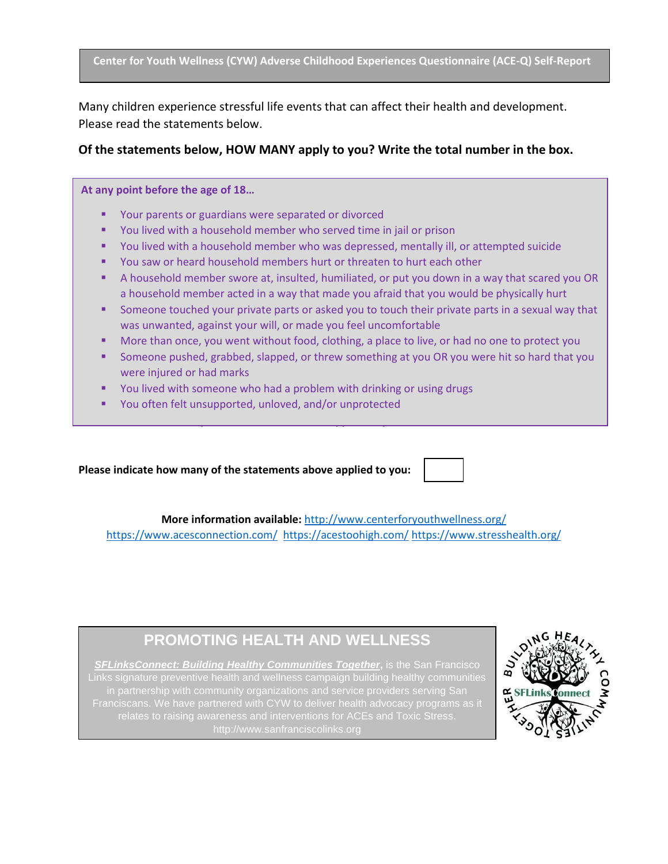Many children experience stressful life events that can affect their health and development. Please read the statements below.

## **Of the statements below, HOW MANY apply to you? Write the total number in the box.**

**At any point before the age of 18…**

- Your parents or guardians were separated or divorced
- You lived with a household member who served time in jail or prison
- You lived with a household member who was depressed, mentally ill, or attempted suicide
- You saw or heard household members hurt or threaten to hurt each other
- **E** A household member swore at, insulted, humiliated, or put you down in a way that scared you OR a household member acted in a way that made you afraid that you would be physically hurt
- **EXECT** Someone touched your private parts or asked you to touch their private parts in a sexual way that was unwanted, against your will, or made you feel uncomfortable
- More than once, you went without food, clothing, a place to live, or had no one to protect you
- **EXED** Someone pushed, grabbed, slapped, or threw something at you OR you were hit so hard that you were injured or had marks
- **EXED You lived with someone who had a problem with drinking or using drugs**
- You often felt unsupported, unloved, and/or unprotected

### **Please indicate how many of the statements above applied to you:**

Please indicate how many of the statements above applied to you:

**More information available:** <http://www.centerforyouthwellness.org/> <https://www.acesconnection.com/><https://acestoohigh.com/> <https://www.stresshealth.org/>

# **PROMOTING HEALTH AND WELLNESS**

*[SFLinksConnect: Building Healthy Communities Together](http://www.sanfranciscolinksinc.org/wp-content/uploads/2015/08/Building-Healthy-Communities-Together-ACA-90X40_F-1.pdf)***,** is the San Francisco is signature preventive rieditival and wellhess campaign ballung nearing community in partnership with community organizations and service providers serving San relates to raising awareness and interventions for ACEs and Toxic Stress.